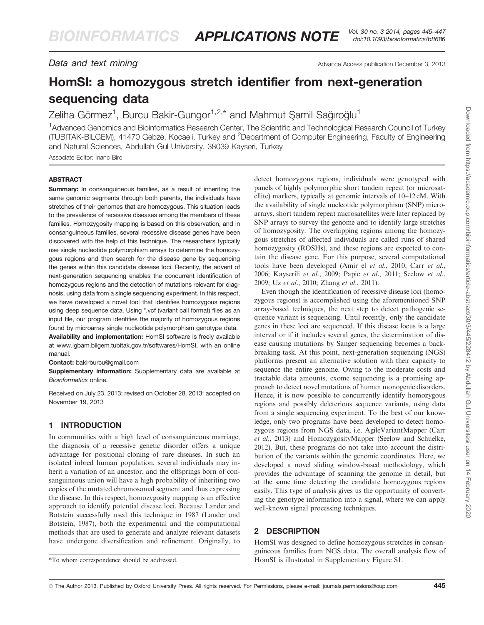**Data and text mining** and **Advance Access publication December 3, 2013** 

# HomSI: a homozygous stretch identifier from next-generation sequencing data

Zeliha Görmez $^1$ , Burcu Bakir-Gungor $^{1,2,\star}$  and Mahmut Şamil Sağıroğlu $^1$ 

<sup>1</sup>Advanced Genomics and Bioinformatics Research Center, The Scientific and Technological Research Council of Turkey (TUBITAK-BILGEM), 41470 Gebze, Kocaeli, Turkey and <sup>2</sup>Department of Computer Engineering, Faculty of Engineering and Natural Sciences, Abdullah Gul University, 38039 Kayseri, Turkey

Associate Editor: Inanc Birol

#### ABSTRACT

Summary: In consanguineous families, as a result of inheriting the same genomic segments through both parents, the individuals have stretches of their genomes that are homozygous. This situation leads to the prevalence of recessive diseases among the members of these families. Homozygosity mapping is based on this observation, and in consanguineous families, several recessive disease genes have been discovered with the help of this technique. The researchers typically use single nucleotide polymorphism arrays to determine the homozygous regions and then search for the disease gene by sequencing the genes within this candidate disease loci. Recently, the advent of next-generation sequencing enables the concurrent identification of homozygous regions and the detection of mutations relevant for diagnosis, using data from a single sequencing experiment. In this respect, we have developed a novel tool that identifies homozygous regions using deep sequence data. Using \*.vcf (variant call format) files as an input file, our program identifies the majority of homozygous regions found by microarray single nucleotide polymorphism genotype data. Availability and implementation: HomSI software is freely available at [www.igbam.bilgem.tubitak.gov.tr/softwares/HomSI](http://www.igbam.bilgem.tubitak.gov.tr/softwares/HomSI), with an online manual.

Contact: [bakirburcu@gmail.com](mailto:bakirburcu@gmail.com)

Supplementary information: [Supplementary data](http://bioinformatics.oxfordjournals.org/lookup/suppl/doi:10.1093/bioinformatics/btt686/-/DC1) are available at Bioinformatics online.

Received on July 23, 2013; revised on October 28, 2013; accepted on November 19, 2013

## 1 INTRODUCTION

In communities with a high level of consanguineous marriage, the diagnosis of a recessive genetic disorder offers a unique advantage for positional cloning of rare diseases. In such an isolated inbred human population, several individuals may inherit a variation of an ancestor, and the offsprings born of consanguineous union will have a high probability of inheriting two copies of the mutated chromosomal segment and thus expressing the disease. In this respect, homozygosity mapping is an effective approach to identify potential disease loci. Because Lander and Botstein successfully used this technique in 1987 [\(Lander and](#page-2-0) [Botstein, 1987\)](#page-2-0), both the experimental and the computational methods that are used to generate and analyze relevant datasets have undergone diversification and refinement. Originally, to

detect homozygous regions, individuals were genotyped with panels of highly polymorphic short tandem repeat (or microsatellite) markers, typically at genomic intervals of 10–12 cM. With the availability of single nucleotide polymorphism (SNP) microarrays, short tandem repeat microsatellites were later replaced by SNP arrays to survey the genome and to identify large stretches of homozygosity. The overlapping regions among the homozygous stretches of affected individuals are called runs of shared homozygosity (ROSHs), and these regions are expected to contain the disease gene. For this purpose, several computational tools have been developed [\(Amir el](#page-2-0) et al., 2010; [Carr](#page-2-0) et al., [2006](#page-2-0); [Kayserili](#page-2-0) et al., 2009; Papic et al[., 2011](#page-2-0); [Seelow](#page-2-0) et al., [2009](#page-2-0); Uz et al[., 2010](#page-2-0); Zhang et al[., 2011\)](#page-2-0).

Even though the identification of recessive disease loci (homozygous regions) is accomplished using the aforementioned SNP array-based techniques, the next step to detect pathogenic sequence variant is sequencing. Until recently, only the candidate genes in these loci are sequenced. If this disease locus is a large interval or if it includes several genes, the determination of disease causing mutations by Sanger sequencing becomes a backbreaking task. At this point, next-generation sequencing (NGS) platforms present an alternative solution with their capacity to sequence the entire genome. Owing to the moderate costs and tractable data amounts, exome sequencing is a promising approach to detect novel mutations of human monogenic disorders. Hence, it is now possible to concurrently identify homozygous regions and possibly deleterious sequence variants, using data from a single sequencing experiment. To the best of our knowledge, only two programs have been developed to detect homozygous regions from NGS data, i.e. AgileVariantMapper [\(Carr](#page-2-0) et al[., 2013\)](#page-2-0) and HomozygosityMapper ([Seelow and Schuelke,](#page-2-0) [2012](#page-2-0)). But, these programs do not take into account the distribution of the variants within the genomic coordinates. Here, we developed a novel sliding window-based methodology, which provides the advantage of scanning the genome in detail, but at the same time detecting the candidate homozygous regions easily. This type of analysis gives us the opportunity of converting the genotype information into a signal, where we can apply well-known signal processing techniques.

# 2 DESCRIPTION

HomSI was designed to define homozygous stretches in consanguineous families from NGS data. The overall analysis flow of \*To whom correspondence should be addressed. HomSI is illustrated in [Supplementary Figure S1.](http://bioinformatics.oxfordjournals.org/lookup/suppl/doi:10.1093/bioinformatics/btt686/-/DC1)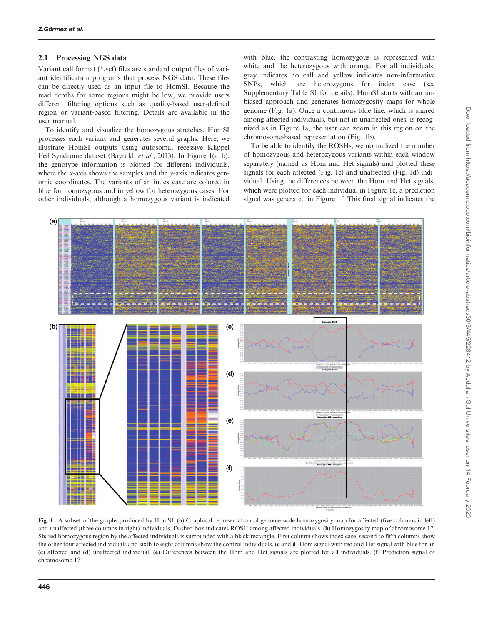#### 2.1 Processing NGS data

Variant call format (\*.vcf) files are standard output files of variant identification programs that process NGS data. These files can be directly used as an input file to HomSI. Because the read depths for some regions might be low, we provide users different filtering options such as quality-based user-defined region or variant-based filtering. Details are available in the user manual.

To identify and visualize the homozygous stretches, HomSI processes each variant and generates several graphs. Here, we illustrate HomSI outputs using autosomal recessive Klippel Feil Syndrome dataset [\(Bayrakli](#page-2-0) et al., 2013). In Figure 1(a–b), the genotype information is plotted for different individuals, where the *x*-axis shows the samples and the *y*-axis indicates genomic coordinates. The variants of an index case are colored in blue for homozygous and in yellow for heterozygous cases. For other individuals, although a homozygous variant is indicated

with blue, the contrasting homozygous is represented with white and the heterozygous with orange. For all individuals, gray indicates no call and yellow indicates non-informative SNPs, which are heterozygous for index case (see [Supplementary Table S1](http://bioinformatics.oxfordjournals.org/lookup/suppl/doi:10.1093/bioinformatics/btt686/-/DC1) for details). HomSI starts with an unbiased approach and generates homozygosity maps for whole genome (Fig. 1a). Once a continuous blue line, which is shared among affected individuals, but not in unaffected ones, is recognized as in Figure 1a, the user can zoom in this region on the chromosome-based representation (Fig. 1b).

To be able to identify the ROSHs, we normalized the number of homozygous and heterozygous variants within each window separately (named as Hom and Het signals) and plotted these signals for each affected (Fig. 1c) and unaffected (Fig. 1d) individual. Using the differences between the Hom and Het signals, which were plotted for each individual in Figure 1e, a prediction signal was generated in Figure 1f. This final signal indicates the



Fig. 1. A subset of the graphs produced by HomSI. (a) Graphical representation of genome-wide homozygosity map for affected (five columns in left) and unaffected (three columns in right) individuals. Dashed box indicates ROSH among affected individuals. (b) Homozygosity map of chromosome 17. Shared homozygous region by the affected individuals is surrounded with a black rectangle. First column shows index case, second to fifth columns show the other four affected individuals and sixth to eight columns show the control individuals. (c and d) Hom signal with red and Het signal with blue for an (c) affected and (d) unaffected individual. (e) Differences between the Hom and Het signals are plotted for all individuals. (f) Prediction signal of chromosome 17